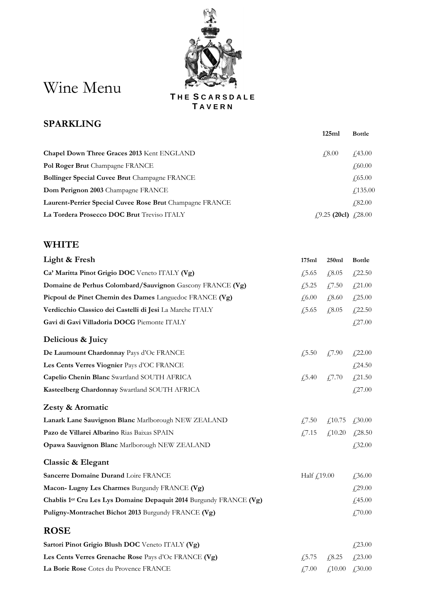## Wine Menu

**T H E S C A R S D A L E T A V E R N**

## **SPARKLING**

|                                                          | 125ml                                 | <b>Bottle</b>   |
|----------------------------------------------------------|---------------------------------------|-----------------|
| <b>Chapel Down Three Graces 2013 Kent ENGLAND</b>        | $\sqrt{4.8.00}$                       | $\angle 43.00$  |
| Pol Roger Brut Champagne FRANCE                          |                                       | f,60.00         |
| <b>Bollinger Special Cuvee Brut</b> Champagne FRANCE     |                                       | $\sqrt{65.00}$  |
| Dom Perignon 2003 Champagne FRANCE                       |                                       | $\angle 135.00$ |
| Laurent-Perrier Special Cuvee Rose Brut Champagne FRANCE |                                       | $\angle 82.00$  |
| La Tordera Prosecco DOC Brut Treviso ITALY               | $f(9.25 \text{ (20cl)} \quad f(28.00$ |                 |

## **WHITE**

| Light & Fresh                                                                  | 175ml         | 250ml                                                             | <b>Bottle</b> |
|--------------------------------------------------------------------------------|---------------|-------------------------------------------------------------------|---------------|
| Ca' Maritta Pinot Grigio DOC Veneto ITALY (Vg)                                 | £,5.65        | £,8.05                                                            | £22.50        |
| Domaine de Perhus Colombard/Sauvignon Gascony FRANCE (Vg)                      | f(5.25)       | £,7.50                                                            | £21.00        |
| Picpoul de Pinet Chemin des Dames Languedoc FRANCE (Vg)                        | £,6.00        | £,8.60                                                            | £25.00        |
| Verdicchio Classico dei Castelli di Jesi La Marche ITALY                       | £,5.65        | £,8.05                                                            | £22.50        |
| Gavi di Gavi Villadoria DOCG Piemonte ITALY                                    |               |                                                                   | £27.00        |
| Delicious & Juicy                                                              |               |                                                                   |               |
| De Laumount Chardonnay Pays d'Oc FRANCE                                        | £,5.50        | $\sqrt{7.90}$                                                     | £22.00        |
| Les Cents Verres Viognier Pays d'OC FRANCE                                     |               |                                                                   | £24.50        |
| Capelio Chenin Blanc Swartland SOUTH AFRICA                                    |               | $\textcolor{blue}{f_2^2}$ , 5.40 $\textcolor{blue}{f_2^2}$ , 7.70 | £21.50        |
| Kasteelberg Chardonnay Swartland SOUTH AFRICA                                  |               |                                                                   | £27.00        |
| Zesty & Aromatic                                                               |               |                                                                   |               |
| Lanark Lane Sauvignon Blanc Marlborough NEW ZEALAND                            | $\sqrt{7.50}$ | £,10.75                                                           | £,30.00       |
| Pazo de Villarei Albarino Rias Baixas SPAIN                                    | $\sqrt{7.15}$ | $f_{1}10.20$                                                      | £28.50        |
| Opawa Sauvignon Blanc Marlborough NEW ZEALAND                                  |               |                                                                   | £,32.00       |
| Classic & Elegant                                                              |               |                                                                   |               |
| Sancerre Domaine Durand Loire FRANCE                                           | Half £19.00   |                                                                   | £,36.00       |
| Macon- Lugny Les Charmes Burgundy FRANCE (Vg)                                  |               |                                                                   | £29.00        |
| Chablis 1 <sup>er</sup> Cru Les Lys Domaine Depaquit 2014 Burgundy FRANCE (Vg) |               |                                                                   | £,45.00       |
| Puligny-Montrachet Bichot 2013 Burgundy FRANCE (Vg)                            |               |                                                                   | £,70.00       |
| <b>ROSE</b>                                                                    |               |                                                                   |               |
| Sartori Pinot Grigio Blush DOC Veneto ITALY (Vg)                               |               |                                                                   | £23.00        |
| Les Cents Verres Grenache Rose Pays d'Oc FRANCE (Vg)                           | £,5.75        | £8.25                                                             | £23.00        |
| La Borie Rose Cotes du Provence FRANCE                                         | £,7.00        | £10.00                                                            | £,30.00       |